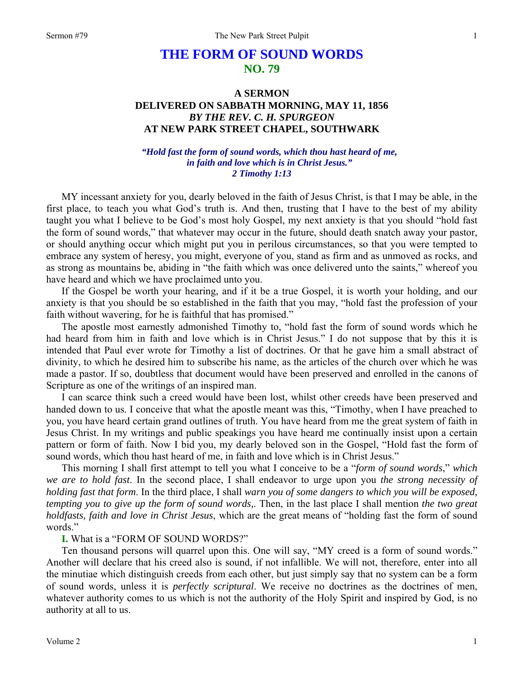# **THE FORM OF SOUND WORDS NO. 79**

## **A SERMON DELIVERED ON SABBATH MORNING, MAY 11, 1856**  *BY THE REV. C. H. SPURGEON*  **AT NEW PARK STREET CHAPEL, SOUTHWARK**

#### *"Hold fast the form of sound words, which thou hast heard of me, in faith and love which is in Christ Jesus." 2 Timothy 1:13*

MY incessant anxiety for you, dearly beloved in the faith of Jesus Christ, is that I may be able, in the first place, to teach you what God's truth is. And then, trusting that I have to the best of my ability taught you what I believe to be God's most holy Gospel, my next anxiety is that you should "hold fast the form of sound words," that whatever may occur in the future, should death snatch away your pastor, or should anything occur which might put you in perilous circumstances, so that you were tempted to embrace any system of heresy, you might, everyone of you, stand as firm and as unmoved as rocks, and as strong as mountains be, abiding in "the faith which was once delivered unto the saints," whereof you have heard and which we have proclaimed unto you.

If the Gospel be worth your hearing, and if it be a true Gospel, it is worth your holding, and our anxiety is that you should be so established in the faith that you may, "hold fast the profession of your faith without wavering, for he is faithful that has promised."

The apostle most earnestly admonished Timothy to, "hold fast the form of sound words which he had heard from him in faith and love which is in Christ Jesus." I do not suppose that by this it is intended that Paul ever wrote for Timothy a list of doctrines. Or that he gave him a small abstract of divinity, to which he desired him to subscribe his name, as the articles of the church over which he was made a pastor. If so, doubtless that document would have been preserved and enrolled in the canons of Scripture as one of the writings of an inspired man.

I can scarce think such a creed would have been lost, whilst other creeds have been preserved and handed down to us. I conceive that what the apostle meant was this, "Timothy, when I have preached to you, you have heard certain grand outlines of truth. You have heard from me the great system of faith in Jesus Christ. In my writings and public speakings you have heard me continually insist upon a certain pattern or form of faith. Now I bid you, my dearly beloved son in the Gospel, "Hold fast the form of sound words, which thou hast heard of me, in faith and love which is in Christ Jesus."

This morning I shall first attempt to tell you what I conceive to be a "*form of sound words*," *which we are to hold fast*. In the second place, I shall endeavor to urge upon you *the strong necessity of holding fast that form*. In the third place, I shall *warn you of some dangers to which you will be exposed, tempting you to give up the form of sound words,*. Then, in the last place I shall mention *the two great holdfasts, faith and love in Christ Jesus*, which are the great means of "holding fast the form of sound words."

### **I.** What is a "FORM OF SOUND WORDS?"

Ten thousand persons will quarrel upon this. One will say, "MY creed is a form of sound words." Another will declare that his creed also is sound, if not infallible. We will not, therefore, enter into all the minutiae which distinguish creeds from each other, but just simply say that no system can be a form of sound words, unless it is *perfectly scriptural*. We receive no doctrines as the doctrines of men, whatever authority comes to us which is not the authority of the Holy Spirit and inspired by God, is no authority at all to us.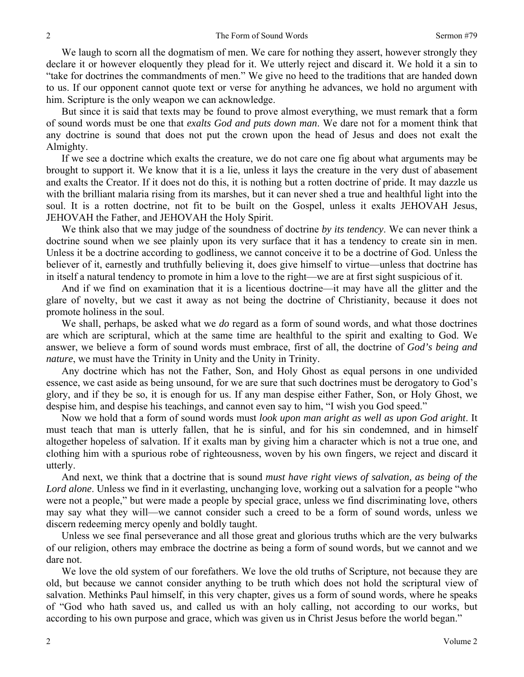We laugh to scorn all the dogmatism of men. We care for nothing they assert, however strongly they declare it or however eloquently they plead for it. We utterly reject and discard it. We hold it a sin to "take for doctrines the commandments of men." We give no heed to the traditions that are handed down to us. If our opponent cannot quote text or verse for anything he advances, we hold no argument with him. Scripture is the only weapon we can acknowledge.

But since it is said that texts may be found to prove almost everything, we must remark that a form of sound words must be one that *exalts God and puts down man*. We dare not for a moment think that any doctrine is sound that does not put the crown upon the head of Jesus and does not exalt the Almighty.

If we see a doctrine which exalts the creature, we do not care one fig about what arguments may be brought to support it. We know that it is a lie, unless it lays the creature in the very dust of abasement and exalts the Creator. If it does not do this, it is nothing but a rotten doctrine of pride. It may dazzle us with the brilliant malaria rising from its marshes, but it can never shed a true and healthful light into the soul. It is a rotten doctrine, not fit to be built on the Gospel, unless it exalts JEHOVAH Jesus, JEHOVAH the Father, and JEHOVAH the Holy Spirit.

We think also that we may judge of the soundness of doctrine *by its tendency*. We can never think a doctrine sound when we see plainly upon its very surface that it has a tendency to create sin in men. Unless it be a doctrine according to godliness, we cannot conceive it to be a doctrine of God. Unless the believer of it, earnestly and truthfully believing it, does give himself to virtue—unless that doctrine has in itself a natural tendency to promote in him a love to the right—we are at first sight suspicious of it.

And if we find on examination that it is a licentious doctrine—it may have all the glitter and the glare of novelty, but we cast it away as not being the doctrine of Christianity, because it does not promote holiness in the soul.

We shall, perhaps, be asked what we *do* regard as a form of sound words, and what those doctrines are which are scriptural, which at the same time are healthful to the spirit and exalting to God. We answer, we believe a form of sound words must embrace, first of all, the doctrine of *God's being and nature*, we must have the Trinity in Unity and the Unity in Trinity.

Any doctrine which has not the Father, Son, and Holy Ghost as equal persons in one undivided essence, we cast aside as being unsound, for we are sure that such doctrines must be derogatory to God's glory, and if they be so, it is enough for us. If any man despise either Father, Son, or Holy Ghost, we despise him, and despise his teachings, and cannot even say to him, "I wish you God speed."

Now we hold that a form of sound words must *look upon man aright as well as upon God aright*. It must teach that man is utterly fallen, that he is sinful, and for his sin condemned, and in himself altogether hopeless of salvation. If it exalts man by giving him a character which is not a true one, and clothing him with a spurious robe of righteousness, woven by his own fingers, we reject and discard it utterly.

And next, we think that a doctrine that is sound *must have right views of salvation, as being of the Lord alone*. Unless we find in it everlasting, unchanging love, working out a salvation for a people "who were not a people," but were made a people by special grace, unless we find discriminating love, others may say what they will—we cannot consider such a creed to be a form of sound words, unless we discern redeeming mercy openly and boldly taught.

Unless we see final perseverance and all those great and glorious truths which are the very bulwarks of our religion, others may embrace the doctrine as being a form of sound words, but we cannot and we dare not.

We love the old system of our forefathers. We love the old truths of Scripture, not because they are old, but because we cannot consider anything to be truth which does not hold the scriptural view of salvation. Methinks Paul himself, in this very chapter, gives us a form of sound words, where he speaks of "God who hath saved us, and called us with an holy calling, not according to our works, but according to his own purpose and grace, which was given us in Christ Jesus before the world began."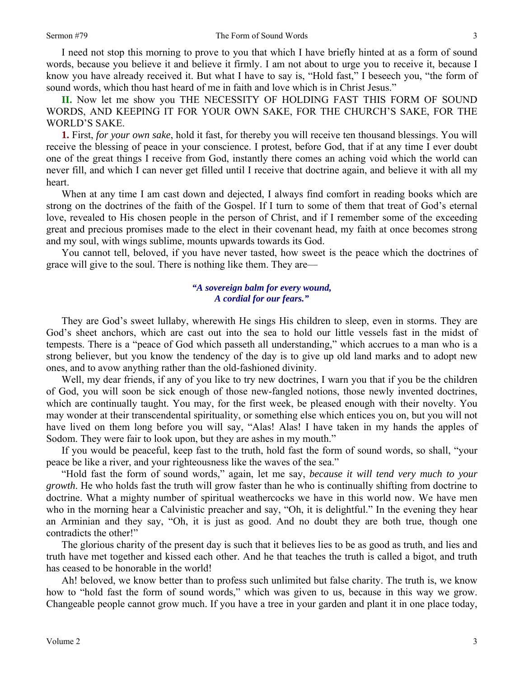I need not stop this morning to prove to you that which I have briefly hinted at as a form of sound words, because you believe it and believe it firmly. I am not about to urge you to receive it, because I know you have already received it. But what I have to say is, "Hold fast," I beseech you, "the form of

sound words, which thou hast heard of me in faith and love which is in Christ Jesus." **II.** Now let me show you THE NECESSITY OF HOLDING FAST THIS FORM OF SOUND WORDS, AND KEEPING IT FOR YOUR OWN SAKE, FOR THE CHURCH'S SAKE, FOR THE

WORLD'S SAKE.

**1.** First, *for your own sake*, hold it fast, for thereby you will receive ten thousand blessings. You will receive the blessing of peace in your conscience. I protest, before God, that if at any time I ever doubt one of the great things I receive from God, instantly there comes an aching void which the world can never fill, and which I can never get filled until I receive that doctrine again, and believe it with all my heart.

When at any time I am cast down and dejected, I always find comfort in reading books which are strong on the doctrines of the faith of the Gospel. If I turn to some of them that treat of God's eternal love, revealed to His chosen people in the person of Christ, and if I remember some of the exceeding great and precious promises made to the elect in their covenant head, my faith at once becomes strong and my soul, with wings sublime, mounts upwards towards its God.

You cannot tell, beloved, if you have never tasted, how sweet is the peace which the doctrines of grace will give to the soul. There is nothing like them. They are—

#### *"A sovereign balm for every wound, A cordial for our fears."*

They are God's sweet lullaby, wherewith He sings His children to sleep, even in storms. They are God's sheet anchors, which are cast out into the sea to hold our little vessels fast in the midst of tempests. There is a "peace of God which passeth all understanding," which accrues to a man who is a strong believer, but you know the tendency of the day is to give up old land marks and to adopt new ones, and to avow anything rather than the old-fashioned divinity.

Well, my dear friends, if any of you like to try new doctrines, I warn you that if you be the children of God, you will soon be sick enough of those new-fangled notions, those newly invented doctrines, which are continually taught. You may, for the first week, be pleased enough with their novelty. You may wonder at their transcendental spirituality, or something else which entices you on, but you will not have lived on them long before you will say, "Alas! Alas! I have taken in my hands the apples of Sodom. They were fair to look upon, but they are ashes in my mouth."

If you would be peaceful, keep fast to the truth, hold fast the form of sound words, so shall, "your peace be like a river, and your righteousness like the waves of the sea."

"Hold fast the form of sound words," again, let me say, *because it will tend very much to your growth*. He who holds fast the truth will grow faster than he who is continually shifting from doctrine to doctrine. What a mighty number of spiritual weathercocks we have in this world now. We have men who in the morning hear a Calvinistic preacher and say, "Oh, it is delightful." In the evening they hear an Arminian and they say, "Oh, it is just as good. And no doubt they are both true, though one contradicts the other!"

The glorious charity of the present day is such that it believes lies to be as good as truth, and lies and truth have met together and kissed each other. And he that teaches the truth is called a bigot, and truth has ceased to be honorable in the world!

Ah! beloved, we know better than to profess such unlimited but false charity. The truth is, we know how to "hold fast the form of sound words," which was given to us, because in this way we grow. Changeable people cannot grow much. If you have a tree in your garden and plant it in one place today,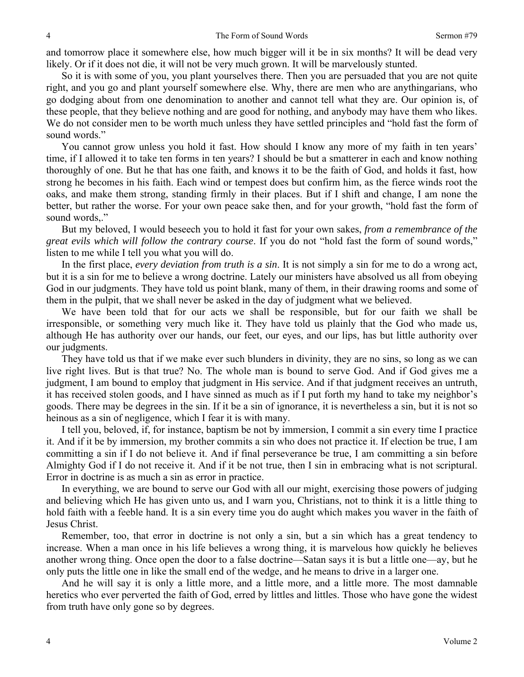and tomorrow place it somewhere else, how much bigger will it be in six months? It will be dead very likely. Or if it does not die, it will not be very much grown. It will be marvelously stunted.

So it is with some of you, you plant yourselves there. Then you are persuaded that you are not quite right, and you go and plant yourself somewhere else. Why, there are men who are anythingarians, who go dodging about from one denomination to another and cannot tell what they are. Our opinion is, of these people, that they believe nothing and are good for nothing, and anybody may have them who likes. We do not consider men to be worth much unless they have settled principles and "hold fast the form of sound words."

You cannot grow unless you hold it fast. How should I know any more of my faith in ten years' time, if I allowed it to take ten forms in ten years? I should be but a smatterer in each and know nothing thoroughly of one. But he that has one faith, and knows it to be the faith of God, and holds it fast, how strong he becomes in his faith. Each wind or tempest does but confirm him, as the fierce winds root the oaks, and make them strong, standing firmly in their places. But if I shift and change, I am none the better, but rather the worse. For your own peace sake then, and for your growth, "hold fast the form of sound words,."

But my beloved, I would beseech you to hold it fast for your own sakes, *from a remembrance of the great evils which will follow the contrary course*. If you do not "hold fast the form of sound words," listen to me while I tell you what you will do.

In the first place, *every deviation from truth is a sin*. It is not simply a sin for me to do a wrong act, but it is a sin for me to believe a wrong doctrine. Lately our ministers have absolved us all from obeying God in our judgments. They have told us point blank, many of them, in their drawing rooms and some of them in the pulpit, that we shall never be asked in the day of judgment what we believed.

We have been told that for our acts we shall be responsible, but for our faith we shall be irresponsible, or something very much like it. They have told us plainly that the God who made us, although He has authority over our hands, our feet, our eyes, and our lips, has but little authority over our judgments.

They have told us that if we make ever such blunders in divinity, they are no sins, so long as we can live right lives. But is that true? No. The whole man is bound to serve God. And if God gives me a judgment, I am bound to employ that judgment in His service. And if that judgment receives an untruth, it has received stolen goods, and I have sinned as much as if I put forth my hand to take my neighbor's goods. There may be degrees in the sin. If it be a sin of ignorance, it is nevertheless a sin, but it is not so heinous as a sin of negligence, which I fear it is with many.

I tell you, beloved, if, for instance, baptism be not by immersion, I commit a sin every time I practice it. And if it be by immersion, my brother commits a sin who does not practice it. If election be true, I am committing a sin if I do not believe it. And if final perseverance be true, I am committing a sin before Almighty God if I do not receive it. And if it be not true, then I sin in embracing what is not scriptural. Error in doctrine is as much a sin as error in practice.

In everything, we are bound to serve our God with all our might, exercising those powers of judging and believing which He has given unto us, and I warn you, Christians, not to think it is a little thing to hold faith with a feeble hand. It is a sin every time you do aught which makes you waver in the faith of Jesus Christ.

Remember, too, that error in doctrine is not only a sin, but a sin which has a great tendency to increase. When a man once in his life believes a wrong thing, it is marvelous how quickly he believes another wrong thing. Once open the door to a false doctrine—Satan says it is but a little one—ay, but he only puts the little one in like the small end of the wedge, and he means to drive in a larger one.

And he will say it is only a little more, and a little more, and a little more. The most damnable heretics who ever perverted the faith of God, erred by littles and littles. Those who have gone the widest from truth have only gone so by degrees.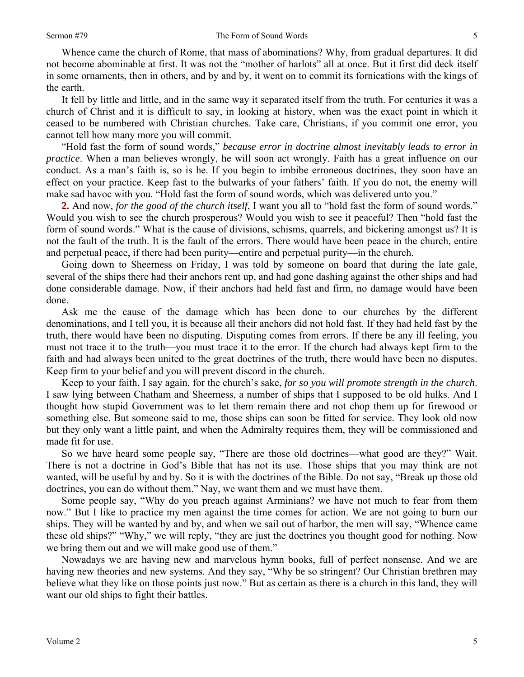Whence came the church of Rome, that mass of abominations? Why, from gradual departures. It did not become abominable at first. It was not the "mother of harlots" all at once. But it first did deck itself in some ornaments, then in others, and by and by, it went on to commit its fornications with the kings of the earth.

It fell by little and little, and in the same way it separated itself from the truth. For centuries it was a church of Christ and it is difficult to say, in looking at history, when was the exact point in which it ceased to be numbered with Christian churches. Take care, Christians, if you commit one error, you cannot tell how many more you will commit.

"Hold fast the form of sound words," *because error in doctrine almost inevitably leads to error in practice*. When a man believes wrongly, he will soon act wrongly. Faith has a great influence on our conduct. As a man's faith is, so is he. If you begin to imbibe erroneous doctrines, they soon have an effect on your practice. Keep fast to the bulwarks of your fathers' faith. If you do not, the enemy will make sad havoc with you. "Hold fast the form of sound words, which was delivered unto you."

**2.** And now, *for the good of the church itself*, I want you all to "hold fast the form of sound words." Would you wish to see the church prosperous? Would you wish to see it peaceful? Then "hold fast the form of sound words." What is the cause of divisions, schisms, quarrels, and bickering amongst us? It is not the fault of the truth. It is the fault of the errors. There would have been peace in the church, entire and perpetual peace, if there had been purity—entire and perpetual purity—in the church.

Going down to Sheerness on Friday, I was told by someone on board that during the late gale, several of the ships there had their anchors rent up, and had gone dashing against the other ships and had done considerable damage. Now, if their anchors had held fast and firm, no damage would have been done.

Ask me the cause of the damage which has been done to our churches by the different denominations, and I tell you, it is because all their anchors did not hold fast. If they had held fast by the truth, there would have been no disputing. Disputing comes from errors. If there be any ill feeling, you must not trace it to the truth—you must trace it to the error. If the church had always kept firm to the faith and had always been united to the great doctrines of the truth, there would have been no disputes. Keep firm to your belief and you will prevent discord in the church.

Keep to your faith, I say again, for the church's sake, *for so you will promote strength in the church*. I saw lying between Chatham and Sheerness, a number of ships that I supposed to be old hulks. And I thought how stupid Government was to let them remain there and not chop them up for firewood or something else. But someone said to me, those ships can soon be fitted for service. They look old now but they only want a little paint, and when the Admiralty requires them, they will be commissioned and made fit for use.

So we have heard some people say, "There are those old doctrines—what good are they?" Wait. There is not a doctrine in God's Bible that has not its use. Those ships that you may think are not wanted, will be useful by and by. So it is with the doctrines of the Bible. Do not say, "Break up those old doctrines, you can do without them." Nay, we want them and we must have them.

Some people say, "Why do you preach against Arminians? we have not much to fear from them now." But I like to practice my men against the time comes for action. We are not going to burn our ships. They will be wanted by and by, and when we sail out of harbor, the men will say, "Whence came these old ships?" "Why," we will reply, "they are just the doctrines you thought good for nothing. Now we bring them out and we will make good use of them."

Nowadays we are having new and marvelous hymn books, full of perfect nonsense. And we are having new theories and new systems. And they say, "Why be so stringent? Our Christian brethren may believe what they like on those points just now." But as certain as there is a church in this land, they will want our old ships to fight their battles.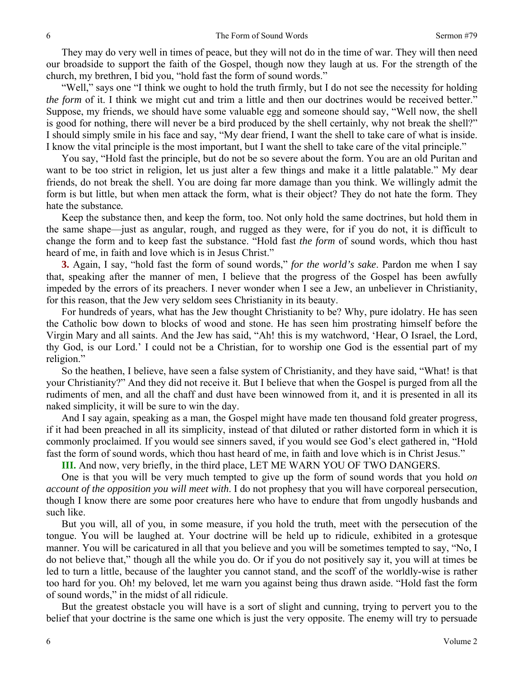They may do very well in times of peace, but they will not do in the time of war. They will then need our broadside to support the faith of the Gospel, though now they laugh at us. For the strength of the church, my brethren, I bid you, "hold fast the form of sound words."

"Well," says one "I think we ought to hold the truth firmly, but I do not see the necessity for holding *the form* of it. I think we might cut and trim a little and then our doctrines would be received better." Suppose, my friends, we should have some valuable egg and someone should say, "Well now, the shell is good for nothing, there will never be a bird produced by the shell certainly, why not break the shell?" I should simply smile in his face and say, "My dear friend, I want the shell to take care of what is inside. I know the vital principle is the most important, but I want the shell to take care of the vital principle."

You say, "Hold fast the principle, but do not be so severe about the form. You are an old Puritan and want to be too strict in religion, let us just alter a few things and make it a little palatable." My dear friends, do not break the shell. You are doing far more damage than you think. We willingly admit the form is but little, but when men attack the form, what is their object? They do not hate the form. They hate the substance*.*

Keep the substance then, and keep the form, too. Not only hold the same doctrines, but hold them in the same shape—just as angular, rough, and rugged as they were, for if you do not, it is difficult to change the form and to keep fast the substance. "Hold fast *the form* of sound words, which thou hast heard of me, in faith and love which is in Jesus Christ."

**3.** Again, I say, "hold fast the form of sound words," *for the world's sake*. Pardon me when I say that, speaking after the manner of men, I believe that the progress of the Gospel has been awfully impeded by the errors of its preachers. I never wonder when I see a Jew, an unbeliever in Christianity, for this reason, that the Jew very seldom sees Christianity in its beauty.

For hundreds of years, what has the Jew thought Christianity to be? Why, pure idolatry. He has seen the Catholic bow down to blocks of wood and stone. He has seen him prostrating himself before the Virgin Mary and all saints. And the Jew has said, "Ah! this is my watchword, 'Hear, O Israel, the Lord, thy God, is our Lord.' I could not be a Christian, for to worship one God is the essential part of my religion."

So the heathen, I believe, have seen a false system of Christianity, and they have said, "What! is that your Christianity?" And they did not receive it. But I believe that when the Gospel is purged from all the rudiments of men, and all the chaff and dust have been winnowed from it, and it is presented in all its naked simplicity, it will be sure to win the day.

And I say again, speaking as a man, the Gospel might have made ten thousand fold greater progress, if it had been preached in all its simplicity, instead of that diluted or rather distorted form in which it is commonly proclaimed. If you would see sinners saved, if you would see God's elect gathered in, "Hold fast the form of sound words, which thou hast heard of me, in faith and love which is in Christ Jesus."

**III.** And now, very briefly, in the third place, LET ME WARN YOU OF TWO DANGERS.

One is that you will be very much tempted to give up the form of sound words that you hold *on account of the opposition you will meet with*. I do not prophesy that you will have corporeal persecution, though I know there are some poor creatures here who have to endure that from ungodly husbands and such like.

But you will, all of you, in some measure, if you hold the truth, meet with the persecution of the tongue. You will be laughed at. Your doctrine will be held up to ridicule, exhibited in a grotesque manner. You will be caricatured in all that you believe and you will be sometimes tempted to say, "No, I do not believe that," though all the while you do. Or if you do not positively say it, you will at times be led to turn a little, because of the laughter you cannot stand, and the scoff of the worldly-wise is rather too hard for you. Oh! my beloved, let me warn you against being thus drawn aside. "Hold fast the form of sound words," in the midst of all ridicule.

But the greatest obstacle you will have is a sort of slight and cunning, trying to pervert you to the belief that your doctrine is the same one which is just the very opposite. The enemy will try to persuade

6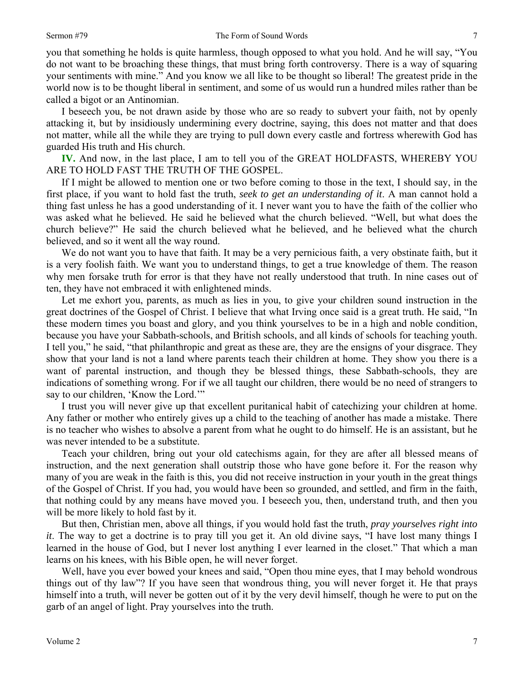you that something he holds is quite harmless, though opposed to what you hold. And he will say, "You do not want to be broaching these things, that must bring forth controversy. There is a way of squaring your sentiments with mine." And you know we all like to be thought so liberal! The greatest pride in the world now is to be thought liberal in sentiment, and some of us would run a hundred miles rather than be called a bigot or an Antinomian.

I beseech you, be not drawn aside by those who are so ready to subvert your faith, not by openly attacking it, but by insidiously undermining every doctrine, saying, this does not matter and that does not matter, while all the while they are trying to pull down every castle and fortress wherewith God has guarded His truth and His church.

**IV.** And now, in the last place, I am to tell you of the GREAT HOLDFASTS, WHEREBY YOU ARE TO HOLD FAST THE TRUTH OF THE GOSPEL.

If I might be allowed to mention one or two before coming to those in the text, I should say, in the first place, if you want to hold fast the truth, *seek to get an understanding of it*. A man cannot hold a thing fast unless he has a good understanding of it. I never want you to have the faith of the collier who was asked what he believed. He said he believed what the church believed. "Well, but what does the church believe?" He said the church believed what he believed, and he believed what the church believed, and so it went all the way round.

We do not want you to have that faith. It may be a very pernicious faith, a very obstinate faith, but it is a very foolish faith. We want you to understand things, to get a true knowledge of them. The reason why men forsake truth for error is that they have not really understood that truth. In nine cases out of ten, they have not embraced it with enlightened minds.

Let me exhort you, parents, as much as lies in you, to give your children sound instruction in the great doctrines of the Gospel of Christ. I believe that what Irving once said is a great truth. He said, "In these modern times you boast and glory, and you think yourselves to be in a high and noble condition, because you have your Sabbath-schools, and British schools, and all kinds of schools for teaching youth. I tell you," he said, "that philanthropic and great as these are, they are the ensigns of your disgrace. They show that your land is not a land where parents teach their children at home. They show you there is a want of parental instruction, and though they be blessed things, these Sabbath-schools, they are indications of something wrong. For if we all taught our children, there would be no need of strangers to say to our children, 'Know the Lord.'"

I trust you will never give up that excellent puritanical habit of catechizing your children at home. Any father or mother who entirely gives up a child to the teaching of another has made a mistake. There is no teacher who wishes to absolve a parent from what he ought to do himself. He is an assistant, but he was never intended to be a substitute.

Teach your children, bring out your old catechisms again, for they are after all blessed means of instruction, and the next generation shall outstrip those who have gone before it. For the reason why many of you are weak in the faith is this, you did not receive instruction in your youth in the great things of the Gospel of Christ. If you had, you would have been so grounded, and settled, and firm in the faith, that nothing could by any means have moved you. I beseech you, then, understand truth, and then you will be more likely to hold fast by it.

But then, Christian men, above all things, if you would hold fast the truth, *pray yourselves right into it*. The way to get a doctrine is to pray till you get it. An old divine says, "I have lost many things I learned in the house of God, but I never lost anything I ever learned in the closet." That which a man learns on his knees, with his Bible open, he will never forget.

Well, have you ever bowed your knees and said, "Open thou mine eyes, that I may behold wondrous things out of thy law"? If you have seen that wondrous thing, you will never forget it. He that prays himself into a truth, will never be gotten out of it by the very devil himself, though he were to put on the garb of an angel of light. Pray yourselves into the truth.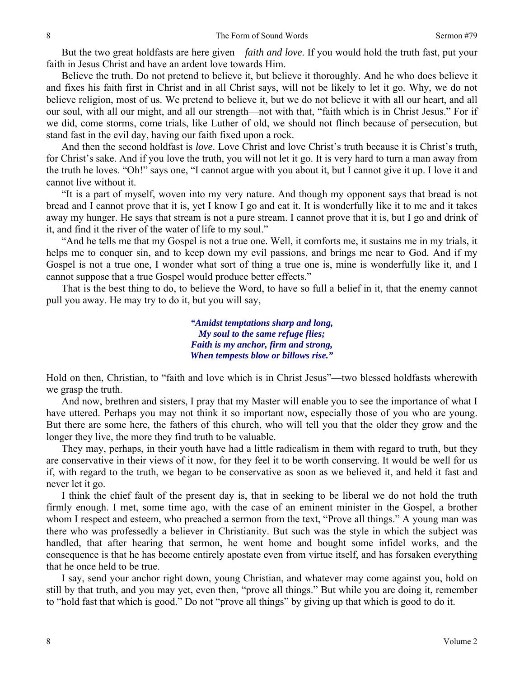But the two great holdfasts are here given—*faith and love*. If you would hold the truth fast, put your faith in Jesus Christ and have an ardent love towards Him.

Believe the truth. Do not pretend to believe it, but believe it thoroughly. And he who does believe it and fixes his faith first in Christ and in all Christ says, will not be likely to let it go. Why, we do not believe religion, most of us. We pretend to believe it, but we do not believe it with all our heart, and all our soul, with all our might, and all our strength—not with that, "faith which is in Christ Jesus." For if we did, come storms, come trials, like Luther of old, we should not flinch because of persecution, but stand fast in the evil day, having our faith fixed upon a rock.

And then the second holdfast is *love*. Love Christ and love Christ's truth because it is Christ's truth, for Christ's sake. And if you love the truth, you will not let it go. It is very hard to turn a man away from the truth he loves. "Oh!" says one, "I cannot argue with you about it, but I cannot give it up. I love it and cannot live without it.

"It is a part of myself, woven into my very nature. And though my opponent says that bread is not bread and I cannot prove that it is, yet I know I go and eat it. It is wonderfully like it to me and it takes away my hunger. He says that stream is not a pure stream. I cannot prove that it is, but I go and drink of it, and find it the river of the water of life to my soul."

"And he tells me that my Gospel is not a true one. Well, it comforts me, it sustains me in my trials, it helps me to conquer sin, and to keep down my evil passions, and brings me near to God. And if my Gospel is not a true one, I wonder what sort of thing a true one is, mine is wonderfully like it, and I cannot suppose that a true Gospel would produce better effects."

That is the best thing to do, to believe the Word, to have so full a belief in it, that the enemy cannot pull you away. He may try to do it, but you will say,

> *"Amidst temptations sharp and long, My soul to the same refuge flies; Faith is my anchor, firm and strong, When tempests blow or billows rise."*

Hold on then, Christian, to "faith and love which is in Christ Jesus"—two blessed holdfasts wherewith we grasp the truth.

And now, brethren and sisters, I pray that my Master will enable you to see the importance of what I have uttered. Perhaps you may not think it so important now, especially those of you who are young. But there are some here, the fathers of this church, who will tell you that the older they grow and the longer they live, the more they find truth to be valuable.

They may, perhaps, in their youth have had a little radicalism in them with regard to truth, but they are conservative in their views of it now, for they feel it to be worth conserving. It would be well for us if, with regard to the truth, we began to be conservative as soon as we believed it, and held it fast and never let it go.

I think the chief fault of the present day is, that in seeking to be liberal we do not hold the truth firmly enough. I met, some time ago, with the case of an eminent minister in the Gospel, a brother whom I respect and esteem, who preached a sermon from the text, "Prove all things." A young man was there who was professedly a believer in Christianity. But such was the style in which the subject was handled, that after hearing that sermon, he went home and bought some infidel works, and the consequence is that he has become entirely apostate even from virtue itself, and has forsaken everything that he once held to be true.

I say, send your anchor right down, young Christian, and whatever may come against you, hold on still by that truth, and you may yet, even then, "prove all things." But while you are doing it, remember to "hold fast that which is good." Do not "prove all things" by giving up that which is good to do it.